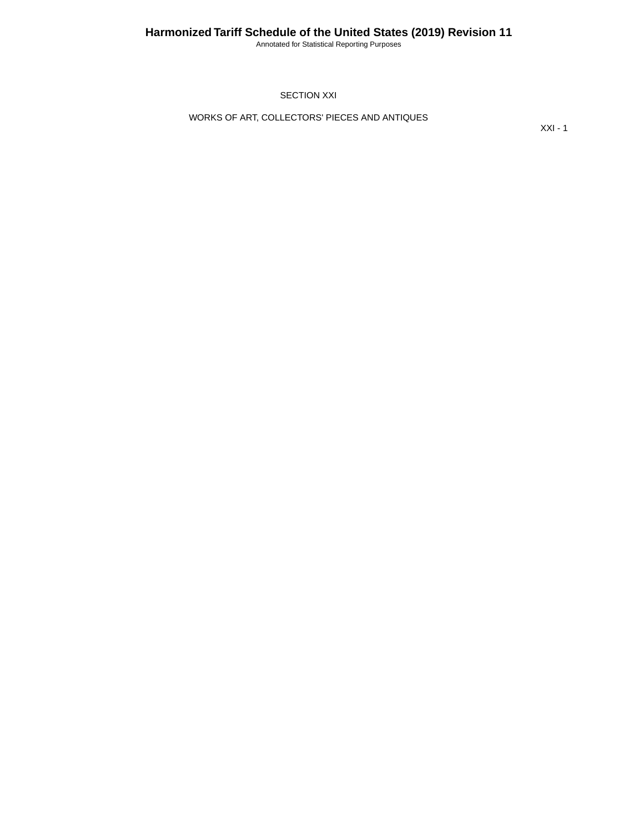Annotated for Statistical Reporting Purposes

SECTION XXI

WORKS OF ART, COLLECTORS' PIECES AND ANTIQUES

XXI - 1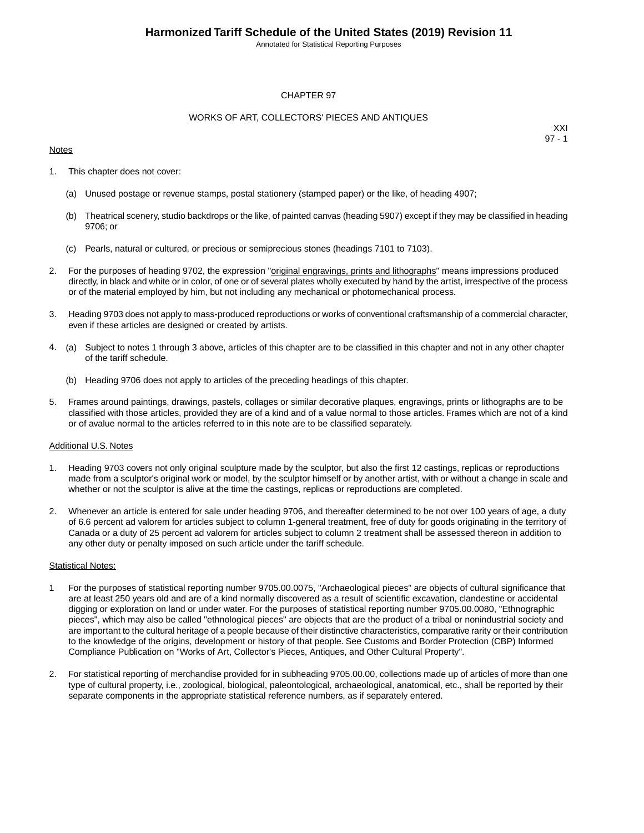Annotated for Statistical Reporting Purposes

# CHAPTER 97

## WORKS OF ART, COLLECTORS' PIECES AND ANTIQUES

## **Notes**

XXI 97 - 1

- 1. This chapter does not cover:
	- (a) Unused postage or revenue stamps, postal stationery (stamped paper) or the like, of heading 4907;
	- (b) Theatrical scenery, studio backdrops or the like, of painted canvas (heading 5907) except if they may be classified in heading 9706; or
	- (c) Pearls, natural or cultured, or precious or semiprecious stones (headings 7101 to 7103).
- 2. For the purposes of heading 9702, the expression "original engravings, prints and lithographs" means impressions produced directly, in black and white or in color, of one or of several plates wholly executed by hand by the artist, irrespective of the process or of the material employed by him, but not including any mechanical or photomechanical process.
- 3. Heading 9703 does not apply to mass-produced reproductions or works of conventional craftsmanship of a commercial character, even if these articles are designed or created by artists.
- 4. (a) Subject to notes 1 through 3 above, articles of this chapter are to be classified in this chapter and not in any other chapter of the tariff schedule.
	- (b) Heading 9706 does not apply to articles of the preceding headings of this chapter.
- 5. Frames around paintings, drawings, pastels, collages or similar decorative plaques, engravings, prints or lithographs are to be classified with those articles, provided they are of a kind and of a value normal to those articles. Frames which are not of a kind or of avalue normal to the articles referred to in this note are to be classified separately.

#### Additional U.S. Notes

- 1. Heading 9703 covers not only original sculpture made by the sculptor, but also the first 12 castings, replicas or reproductions made from a sculptor's original work or model, by the sculptor himself or by another artist, with or without a change in scale and whether or not the sculptor is alive at the time the castings, replicas or reproductions are completed.
- 2. Whenever an article is entered for sale under heading 9706, and thereafter determined to be not over 100 years of age, a duty of 6.6 percent ad valorem for articles subject to column 1-general treatment, free of duty for goods originating in the territory of Canada or a duty of 25 percent ad valorem for articles subject to column 2 treatment shall be assessed thereon in addition to any other duty or penalty imposed on such article under the tariff schedule.

# Statistical Notes:

- 1 For the purposes of statistical reporting number 9705.00.0075, "Archaeological pieces" are objects of cultural significance that are at least 250 years old and are of a kind normally discovered as a result of scientific excavation, clandestine or accidental digging or exploration on land or under water. For the purposes of statistical reporting number 9705.00.0080, "Ethnographic pieces", which may also be called "ethnological pieces" are objects that are the product of a tribal or nonindustrial society and are important to the cultural heritage of a people because of their distinctive characteristics, comparative rarity or their contribution to the knowledge of the origins, development or history of that people. See Customs and Border Protection (CBP) Informed Compliance Publication on "Works of Art, Collector's Pieces, Antiques, and Other Cultural Property".
- 2. For statistical reporting of merchandise provided for in subheading 9705.00.00, collections made up of articles of more than one type of cultural property, i.e., zoological, biological, paleontological, archaeological, anatomical, etc., shall be reported by their separate components in the appropriate statistical reference numbers, as if separately entered.